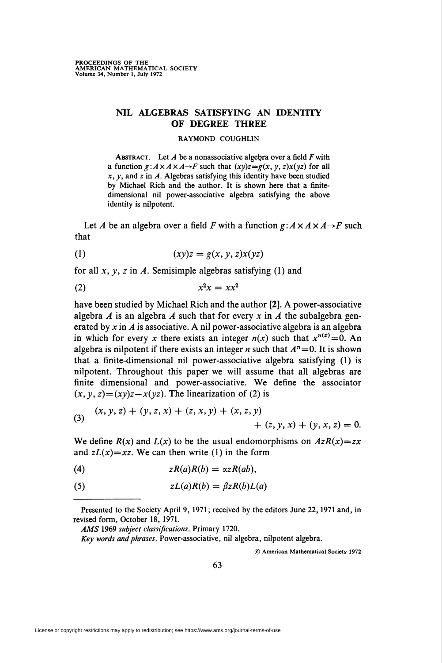## NIL ALGEBRAS SATISFYING AN IDENTITY OF DEGREE THREE

## RAYMOND COUGHLIN

ABSTRACT. Let  $A$  be a nonassociative algebra over a field  $F$  with a function  $g: A \times A \times A \rightarrow F$  such that  $(xy)z = g(x, y, z)x(yz)$  for all  $x, y$ , and  $z$  in  $A$ . Algebras satisfying this identity have been studied by Michael Rich and the author. It is shown here that a finitedimensional nil power-associative algebra satisfying the above identity is nilpotent.

Let A be an algebra over a field F with a function  $g: A \times A \times A \rightarrow F$  such that

$$
(1) \qquad \qquad (xy)z = g(x, y, z)x(yz)
$$

for all  $x$ ,  $y$ ,  $z$  in  $A$ . Semisimple algebras satisfying (1) and

$$
(2) \t\t x^2x = xx^2
$$

have been studied by Michael Rich and the author [2]. A power-associative algebra A is an algebra A such that for every x in A the subalgebra generated by  $x$  in  $A$  is associative. A nil power-associative algebra is an algebra in which for every x there exists an integer  $n(x)$  such that  $x^{n(x)}=0$ . An algebra is nilpotent if there exists an integer *n* such that  $A<sup>n</sup>=0$ . It is shown that a finite-dimensional nil power-associative algebra satisfying (1) is nilpotent. Throughout this paper we will assume that all algebras are finite dimensional and power-associative. We define the associator  $(x, y, z) = (xy)z - x(yz)$ . The linearization of (2) is

(3) 
$$
(x, y, z) + (y, z, x) + (z, x, y) + (x, z, y) + (z, y, x) + (y, x, z) = 0.
$$

We define  $R(x)$  and  $L(x)$  to be the usual endomorphisms on  $AzR(x)=zx$ and  $zL(x)=xz$ . We can then write (1) in the form

(4) zR(a)R(b) = azR(ab),

(5) 
$$
zL(a)R(b) = \beta zR(b)L(a)
$$

© American Mathematical Society 1972

Presented to the Society April 9, 1971 ; received by the editors June 22,1971 and, in revised form, October 18, 1971.

AMS 1969 subject classifications. Primary 1720.

Key words and phrases. Power-associative, nil algebra, nilpotent algebra.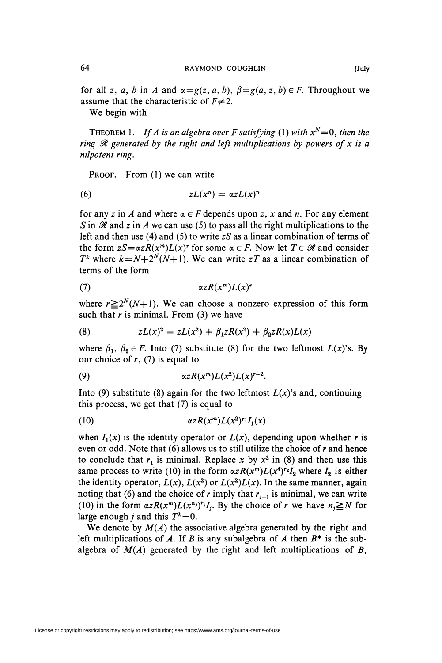for all z, a, b in A and  $\alpha = g(z, a, b)$ ,  $\beta = g(a, z, b) \in F$ . Throughout we assume that the characteristic of  $F\neq 2$ .

We begin with

THEOREM 1. If A is an algebra over F satisfying (1) with  $x^N=0$ , then the ring  $\mathcal R$  generated by the right and left multiplications by powers of x is a nilpotent ring.

PROOF. From (1) we can write

$$
(6) \t zL(x^n) = \alpha zL(x)^n
$$

for any z in A and where  $\alpha \in F$  depends upon z, x and n. For any element S in  $\mathscr R$  and z in A we can use (5) to pass all the right multiplications to the left and then use (4) and (5) to write  $zS$  as a linear combination of terms of the form  $zS = \alpha zR(x^m)L(x)^r$  for some  $\alpha \in F$ . Now let  $T \in \mathcal{R}$  and consider  $T^k$  where  $k = N + 2^N(N+1)$ . We can write zT as a linear combination of terms of the form

$$
\alpha z R(x^m) L(x)^r
$$

where  $r \ge 2^N(N+1)$ . We can choose a nonzero expression of this form such that  $r$  is minimal. From (3) we have

(8) 
$$
zL(x)^{2} = zL(x^{2}) + \beta_{1}zR(x^{2}) + \beta_{2}zR(x)L(x)
$$

where  $\beta_1$ ,  $\beta_2 \in F$ . Into (7) substitute (8) for the two leftmost  $L(x)$ 's. By our choice of  $r$ , (7) is equal to

$$
\alpha z R(x^m) L(x^2) L(x)^{r-2}.
$$

Into (9) substitute (8) again for the two leftmost  $L(x)$ 's and, continuing this process, we get that (7) is equal to

$$
(10) \qquad \qquad \alpha z R(x^m) L(x^2)^{r_1} I_1(x)
$$

when  $I_1(x)$  is the identity operator or  $L(x)$ , depending upon whether r is even or odd. Note that (6) allows us to still utilize the choice of r and hence to conclude that  $r_1$  is minimal. Replace x by  $x^2$  in (8) and then use this same process to write (10) in the form  $\alpha z R(x^m) L(x^4)^{r_2} I_2$  where  $I_2$  is either the identity operator,  $L(x)$ ,  $L(x^2)$  or  $L(x^2)L(x)$ . In the same manner, again noting that (6) and the choice of r imply that  $r_{i-1}$  is minimal, we can write (10) in the form  $\alpha zR(x^m)L(x^{n_j})^{r_j}I_j$ . By the choice of r we have  $n_j \ge N$  for large enough *j* and this  $T^k=0$ .

We denote by  $M(A)$  the associative algebra generated by the right and left multiplications of A. If B is any subalgebra of A then  $B^*$  is the subalgebra of  $M(A)$  generated by the right and left multiplications of  $B$ ,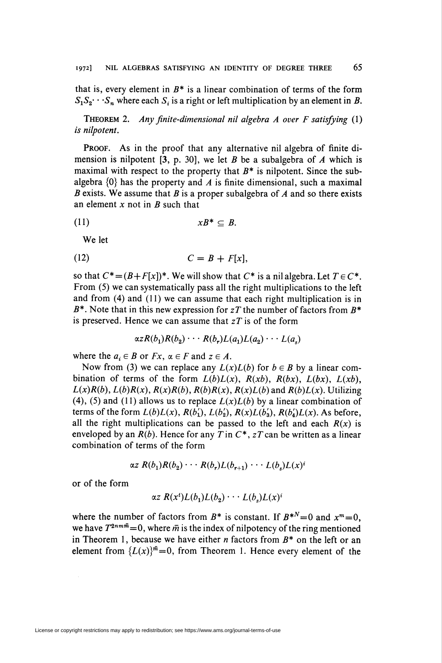that is, every element in  $B^*$  is a linear combination of terms of the form  $S_1S_2\cdots S_n$  where each  $S_i$  is a right or left multiplication by an element in B.

THEOREM 2. Any finite-dimensional nil algebra  $A$  over  $F$  satisfying  $(1)$ is nilpotent.

PROOF. As in the proof that any alternative nil algebra of finite dimension is nilpotent [3, p. 30], we let B be a subalgebra of A which is maximal with respect to the property that  $B^*$  is nilpotent. Since the subalgebra  $\{0\}$  has the property and A is finite dimensional, such a maximal B exists. We assume that B is a proper subalgebra of A and so there exists an element  $x$  not in  $B$  such that

$$
(11) \t\t\t\t\t xB^* \subseteq B.
$$

We let

$$
(12) \tC = B + F[x],
$$

so that  $C^* = (B + F[x])^*$ . We will show that  $C^*$  is a nil algebra. Let  $T \in C^*$ . From (5) we can systematically pass all the right multiplications to the left and from (4) and (11) we can assume that each right multiplication is in  $B^*$ . Note that in this new expression for zT the number of factors from  $B^*$ is preserved. Hence we can assume that  $zT$  is of the form

$$
\alpha zR(b_1)R(b_2)\cdots R(b_r)L(a_1)L(a_2)\cdots L(a_s)
$$

where the  $a_i \in B$  or  $Fx$ ,  $\alpha \in F$  and  $z \in A$ .

Now from (3) we can replace any  $L(x)L(b)$  for  $b \in B$  by a linear combination of terms of the form  $L(b)L(x)$ ,  $R(xb)$ ,  $R(bx)$ ,  $L(bx)$ ,  $L(xb)$ ,  $L(x)R(b)$ ,  $L(b)R(x)$ ,  $R(x)R(b)$ ,  $R(b)R(x)$ ,  $R(x)L(b)$  and  $R(b)L(x)$ . Utilizing (4), (5) and (11) allows us to replace  $L(x)L(b)$  by a linear combination of terms of the form  $L(b)L(x)$ ,  $R(b'_1)$ ,  $L(b'_2)$ ,  $R(x)L(b'_3)$ ,  $R(b'_4)L(x)$ . As before, all the right multiplications can be passed to the left and each  $R(x)$  is enveloped by an  $R(b)$ . Hence for any T in  $C^*$ ,  $zT$  can be written as a linear combination of terms of the form

$$
\alpha z R(b_1)R(b_2)\cdots R(b_r)L(b_{r+1})\cdots L(b_s)L(x)^i
$$

or of the form

$$
\alpha z \; R(x^t) L(b_1) L(b_2) \cdots L(b_s) L(x)^i
$$

where the number of factors from  $B^*$  is constant. If  $B^{*N}=0$  and  $x^m=0$ , we have  $T^{2nm\bar{m}}=0$ , where  $\bar{m}$  is the index of nilpotency of the ring mentioned in Theorem 1, because we have either  $n$  factors from  $B^*$  on the left or an element from  ${L(x)}^{\infty} = 0$ , from Theorem 1. Hence every element of the